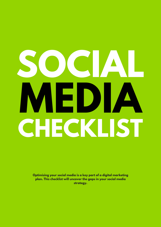# **SOCIAL MEDIA CHECKLIST**

**Optimising your social media is a key part of a digital marketing plan. This checklist will uncover the gaps in your social media strategy.**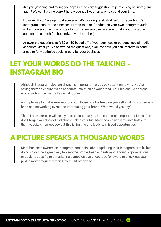Are you groaning and rolling your eyes at the very suggestion of performing an Instagram audit? We can't blame you—it hardly sounds like a fun way to spend your time.

However, if you're eager to discover what's working (and what isn't!) on your brand's Instagram account, it's a necessary step to take. Conducting your own Instagram audit will empower you with all sorts of information you can leverage to take your Instagram account up a notch (or, honestly, several notches).

Answer the questions as YES or NO based off of your business or personal social media accounts. After you've answered the questions, evaluate how you can improve in some areas to fully optimize social media for your business.

### **LET YOUR WORDS DO THE TALKING - INSTAGRAM BIO**

Although Instagram bios are short, it's important that you pay attention to what you're saying there to ensure it's an adequate reflection of your brand. Your bio should address who your brand is, as well as what it does.

A simple way to make sure you touch on those points? Imagine yourself shaking someone's hand at a networking event and introducing your brand. What would you say?

That simple exercise will help you to ensure that you hit on the most important pieces. And don't forget you also get a clickable link in your bio. Most people use it to drive traffic to their website's homepage—but this is limiting and leads to missed opportunities.

#### **A PICTURE SPEAKS A THOUSAND WORDS**

Most business owners on Instagram don't think about updating their Instagram profile, but doing so can be a great way to keep the profile fresh and relevant. Adding logo variations or designs specific to a marketing campaign can encourage followers to check out your profile more frequently than they might otherwise.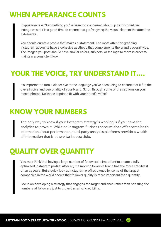## **WHEN APPEARANCE COUNTS**

If appearance isn't something you've been too concerned about up to this point, an Instagram audit is a good time to ensure that you're giving the visual element the attention it deserves.

You should curate a profile that makes a statement. The most attention-grabbing Instagram accounts have a cohesive aesthetic that complements the brand's overall vibe. The images you post should have similar colors, subjects, or feelings to them in order to maintain a consistent look.

## **YOUR THE VOICE, TRY UNDERSTAND IT....**

It's important to turn a closer eye to the language you've been using to ensure that it fits the overall voice and personality of your brand. Scroll through some of the captions on your recent photos. Do those captions fit with your brand's voice?

#### **KNOW YOUR NUMBERS**

The only way to know if your Instagram strategy is working is if you have the analytics to prove it. While an Instagram Business account does offer some basic information about performance, third-party analytics platforms provide a wealth of information that is otherwise inaccessible.

# **QUALITY OVER QUANTITY**

You may think that having a large number of followers is important to create a fully optimised Instagram profile. After all, the more followers a brand has the more credible it often appears. But a quick look at Instagram profiles owned by some of the largest companies in the world shows that follower quality is more important than quantity.

Focus on developing a strategy that engages the target audience rather than boosting the numbers of followers just to project an air of credibility.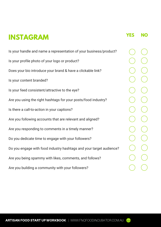## **INSTAGRAM**

Is your handle and name a representation of your business/product? Is your profile photo of your logo or product? Does your bio introduce your brand & have a clickable link? Is your content branded? Is your feed consistent/attractive to the eye? Are you using the right hashtags for your posts/food industry? Is there a call-to-action in your captions? Are you following accounts that are relevant and aligned? Are you responding to comments in a timely manner? Do you dedicate time to engage with your followers? Do you engage with food industry hashtags and your target audience? Are you being spammy with likes, comments, and follows? Are you building a community with your followers?

**YES NO**